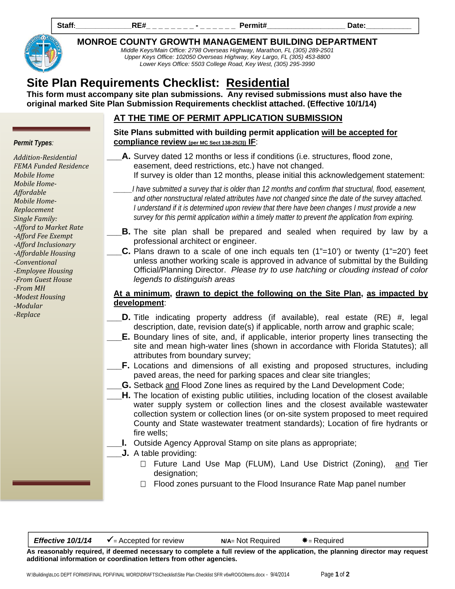Staff<u>:\_\_\_\_\_\_\_\_\_\_\_\_\_\_\_\_\_RE#\_ \_ \_ \_ \_ \_ \_</u> \_ \_ \_ \_ \_ \_ \_ \_ Permit#\_\_\_\_\_\_\_\_\_\_\_\_\_\_\_\_\_\_\_\_\_\_\_\_Date:\_\_\_\_\_\_\_\_\_\_\_\_\_



*Permit Types:*

*Mobile Home Mobile Home‐ Affordable Mobile Home‐ Replacement Single Family:*

*‐From MH ‐Modest Housing ‐Modular ‐Replace* 

*Addition‐Residential FEMA Funded Residence*

*‐Afford to Market Rate ‐Afford Fee Exempt ‐Afford Inclusionary ‐Affordable Housing ‐Conventional ‐Employee Housing ‐From Guest House*

**MONROE COUNTY GROWTH MANAGEMENT BUILDING DEPARTMENT** 

*Middle Keys/Main Office: 2798 Overseas Highway, Marathon, FL (305) 289-2501 Upper Keys Office: 102050 Overseas Highway, Key Largo, FL (305) 453-8800 Lower Keys Office: 5503 College Road, Key West, (305) 295-3990*

# **Site Plan Requirements Checklist: Residential**

**This form must accompany site plan submissions. Any revised submissions must also have the original marked Site Plan Submission Requirements checklist attached. (Effective 10/1/14)**

# **AT THE TIME OF PERMIT APPLICATION SUBMISSION**

### **Site Plans submitted with building permit application will be accepted for compliance review (per MC Sect 138-25(3)) IF**:

- **A.** Survey dated 12 months or less if conditions (i.e. structures, flood zone, easement, deed restrictions, etc.) have not changed. If survey is older than 12 months, please initial this acknowledgement statement:
	- *\_\_\_\_\_I have submitted a survey that is older than 12 months and confirm that structural, flood, easement, and other nonstructural related attributes have not changed since the date of the survey attached. I understand if it is determined upon review that there have been changes I must provide a new survey for this permit application within a timely matter to prevent the application from expiring.*
- **B.** The site plan shall be prepared and sealed when required by law by a professional architect or engineer.
- **C.** Plans drawn to a scale of one inch equals ten (1"=10') or twenty (1"=20') feet unless another working scale is approved in advance of submittal by the Building Official/Planning Director. *Please try to use hatching or clouding instead of color legends to distinguish areas*

## **At a minimum, drawn to depict the following on the Site Plan, as impacted by development**:

- **\_\_\_D.** Title indicating property address (if available), real estate (RE) #, legal description, date, revision date(s) if applicable, north arrow and graphic scale;
- **E.** Boundary lines of site, and, if applicable, interior property lines transecting the site and mean high-water lines (shown in accordance with Florida Statutes); all attributes from boundary survey;
- **F.** Locations and dimensions of all existing and proposed structures, including paved areas, the need for parking spaces and clear site triangles;
	- **G.** Setback and Flood Zone lines as required by the Land Development Code;
- **H.** The location of existing public utilities, including location of the closest available water supply system or collection lines and the closest available wastewater collection system or collection lines (or on-site system proposed to meet required County and State wastewater treatment standards); Location of fire hydrants or fire wells;
- **\_\_\_I.** Outside Agency Approval Stamp on site plans as appropriate;
- **\_\_\_J.** A table providing:
	- $\Box$  Future Land Use Map (FLUM), Land Use District (Zoning), and Tier designation;
	- $\Box$  Flood zones pursuant to the Flood Insurance Rate Map panel number

**Effective 10/1/14**  $\checkmark$  = Accepted for review **N/A**= Not Required  $\checkmark$  = Required

**As reasonably required, if deemed necessary to complete a full review of the application, the planning director may request additional information or coordination letters from other agencies.**